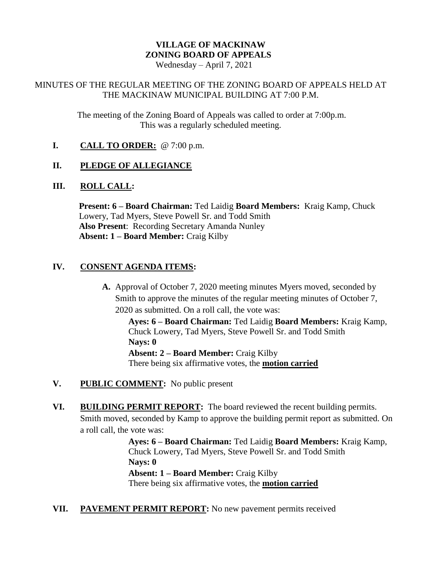# **VILLAGE OF MACKINAW ZONING BOARD OF APPEALS**

Wednesday – April 7, 2021

### MINUTES OF THE REGULAR MEETING OF THE ZONING BOARD OF APPEALS HELD AT THE MACKINAW MUNICIPAL BUILDING AT 7:00 P.M.

The meeting of the Zoning Board of Appeals was called to order at 7:00p.m. This was a regularly scheduled meeting.

**I. CALL TO ORDER:** @ 7:00 p.m.

# **II. PLEDGE OF ALLEGIANCE**

#### **III. ROLL CALL:**

**Present: 6 – Board Chairman:** Ted Laidig **Board Members:** Kraig Kamp, Chuck Lowery, Tad Myers, Steve Powell Sr. and Todd Smith **Also Present**: Recording Secretary Amanda Nunley **Absent: 1 – Board Member:** Craig Kilby

## **IV. CONSENT AGENDA ITEMS:**

**A.** Approval of October 7, 2020 meeting minutes Myers moved, seconded by Smith to approve the minutes of the regular meeting minutes of October 7, 2020 as submitted. On a roll call, the vote was:

**Ayes: 6 – Board Chairman:** Ted Laidig **Board Members:** Kraig Kamp, Chuck Lowery, Tad Myers, Steve Powell Sr. and Todd Smith **Nays: 0 Absent: 2 – Board Member:** Craig Kilby

There being six affirmative votes, the **motion carried**

- **V. PUBLIC COMMENT:** No public present
- **VI. BUILDING PERMIT REPORT:** The board reviewed the recent building permits. Smith moved, seconded by Kamp to approve the building permit report as submitted. On a roll call, the vote was:

**Ayes: 6 – Board Chairman:** Ted Laidig **Board Members:** Kraig Kamp, Chuck Lowery, Tad Myers, Steve Powell Sr. and Todd Smith **Nays: 0 Absent: 1 – Board Member:** Craig Kilby There being six affirmative votes, the **motion carried**

**VII. PAVEMENT PERMIT REPORT:** No new pavement permits received